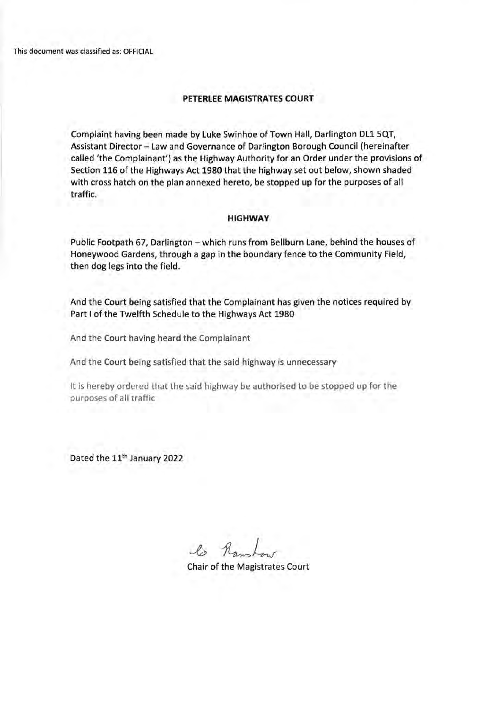This document was classified as: OFFICIAL

## **PETERLEE MAGISTRATES COURT**

Complaint having been made by Luke Swinhoe of Town Hall, Darlington DLl SQT, Assistant Director- Law and Governance of Darlington Borough Council (hereinafter called 'the Complainant') as the Highway Authority for an Order under the provisions of Section 116 of the Highways Act 1980 that the highway set out below, shown shaded with cross hatch on the plan annexed hereto, be stopped up for the purposes of all traffic.

## **HIGHWAY**

Public Footpath 67, Darlington - which runs from Bellburn Lane, behind the houses of Honeywood Gardens, through a gap in the boundary fence to the Community Field, then dog legs into the field.

And the Court being satisfied that the Complainant has given the notices required by Part I of the Twelfth Schedule to the Highways Act 1980

And the Court having heard the Complainant

And the Court being satisfied that the said highway is unnecessary

It is hereby ordered that the said highway be authorised to be stopped up for the purposes of all traffic

Dated the 11<sup>th</sup> January 2022

 $\mathcal{L}_{2}$ 

Chair of the Magistrates Court